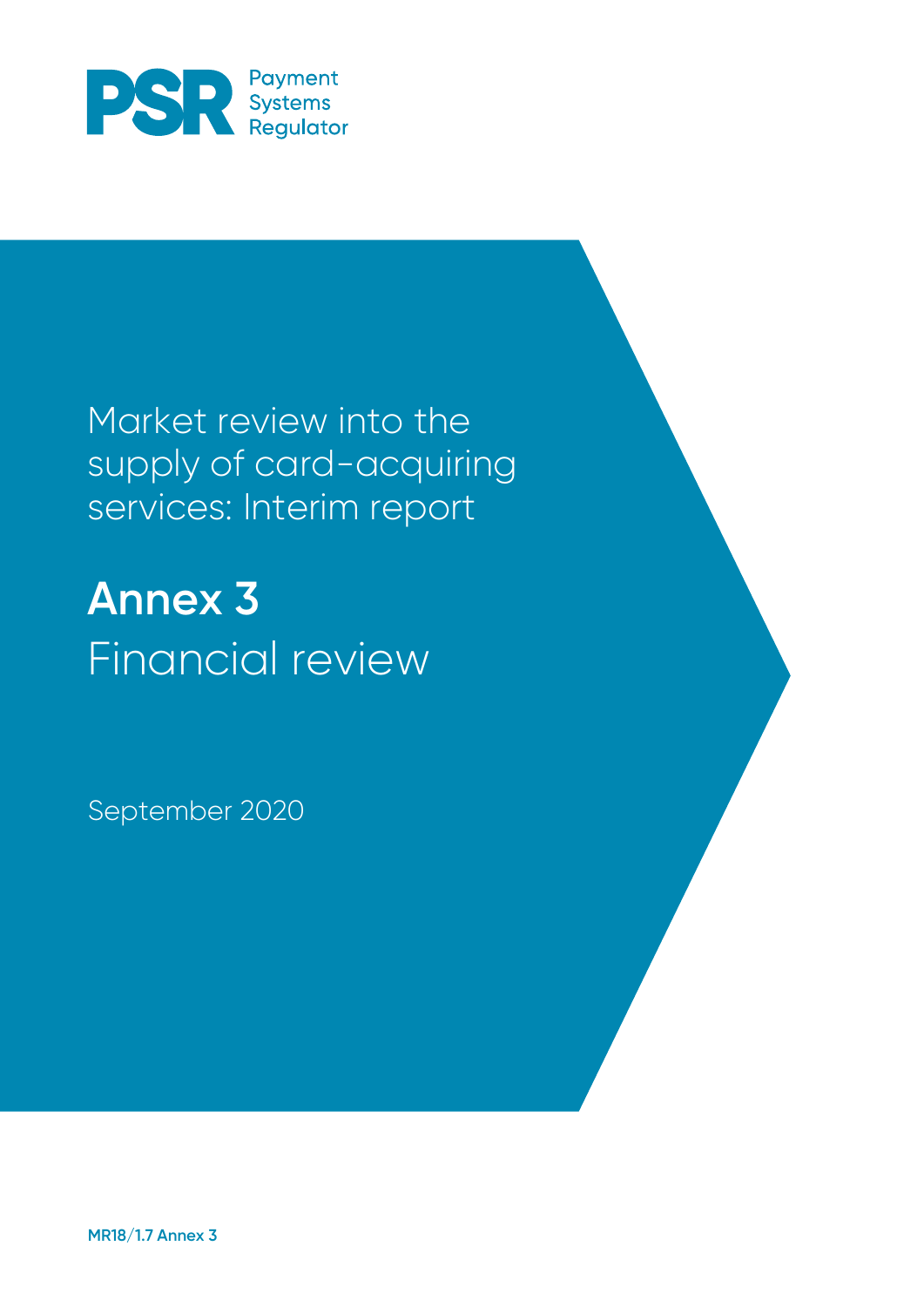

Market review into the supply of card-acquiring services: Interim report

**Annex 3** Financial review

September 2020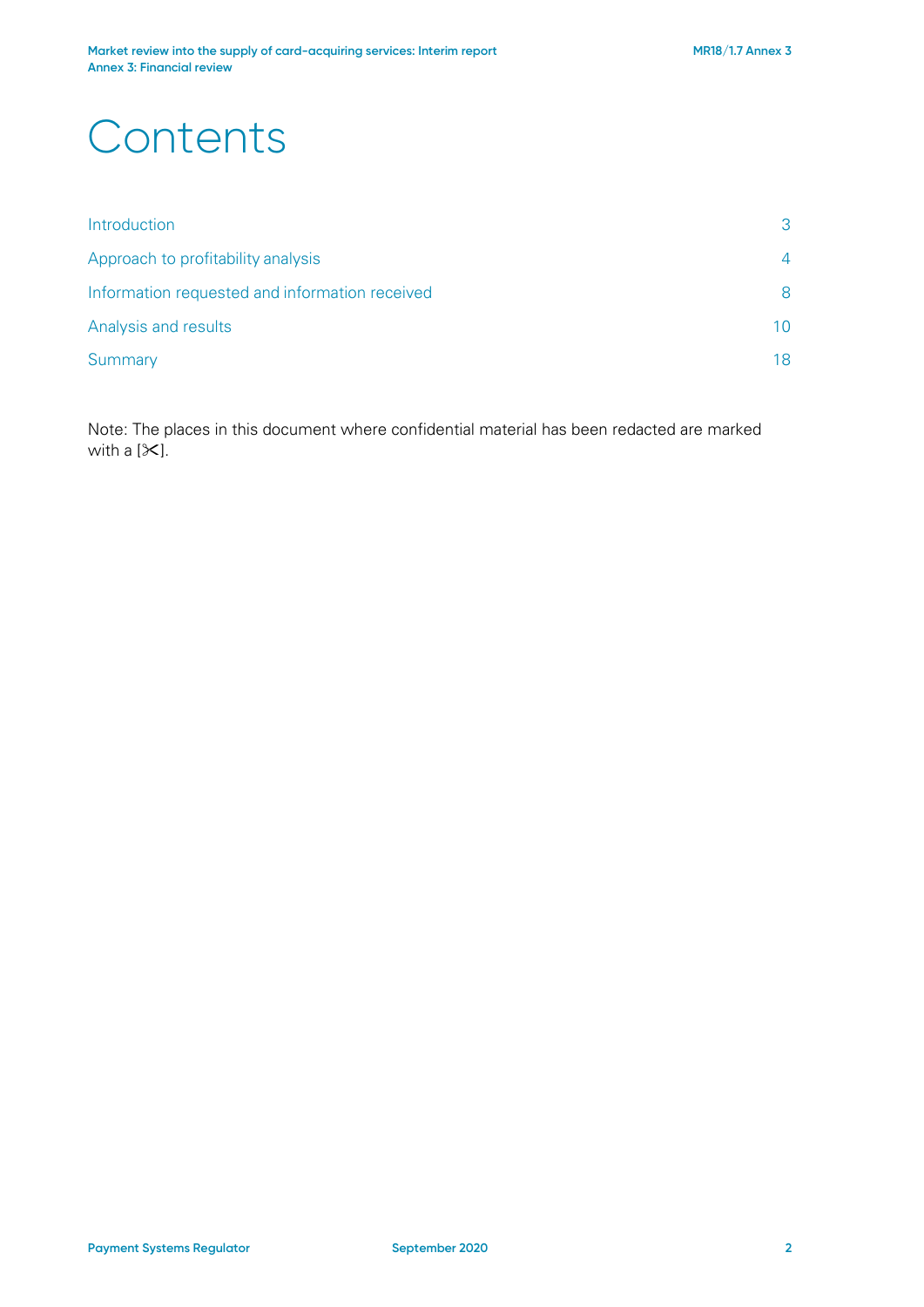# **Contents**

| Introduction                                   | 3  |
|------------------------------------------------|----|
| Approach to profitability analysis             | 4  |
| Information requested and information received | 8  |
| Analysis and results                           | 10 |
| Summary                                        |    |

Note: The places in this document where confidential material has been redacted are marked with a  $[\times]$ .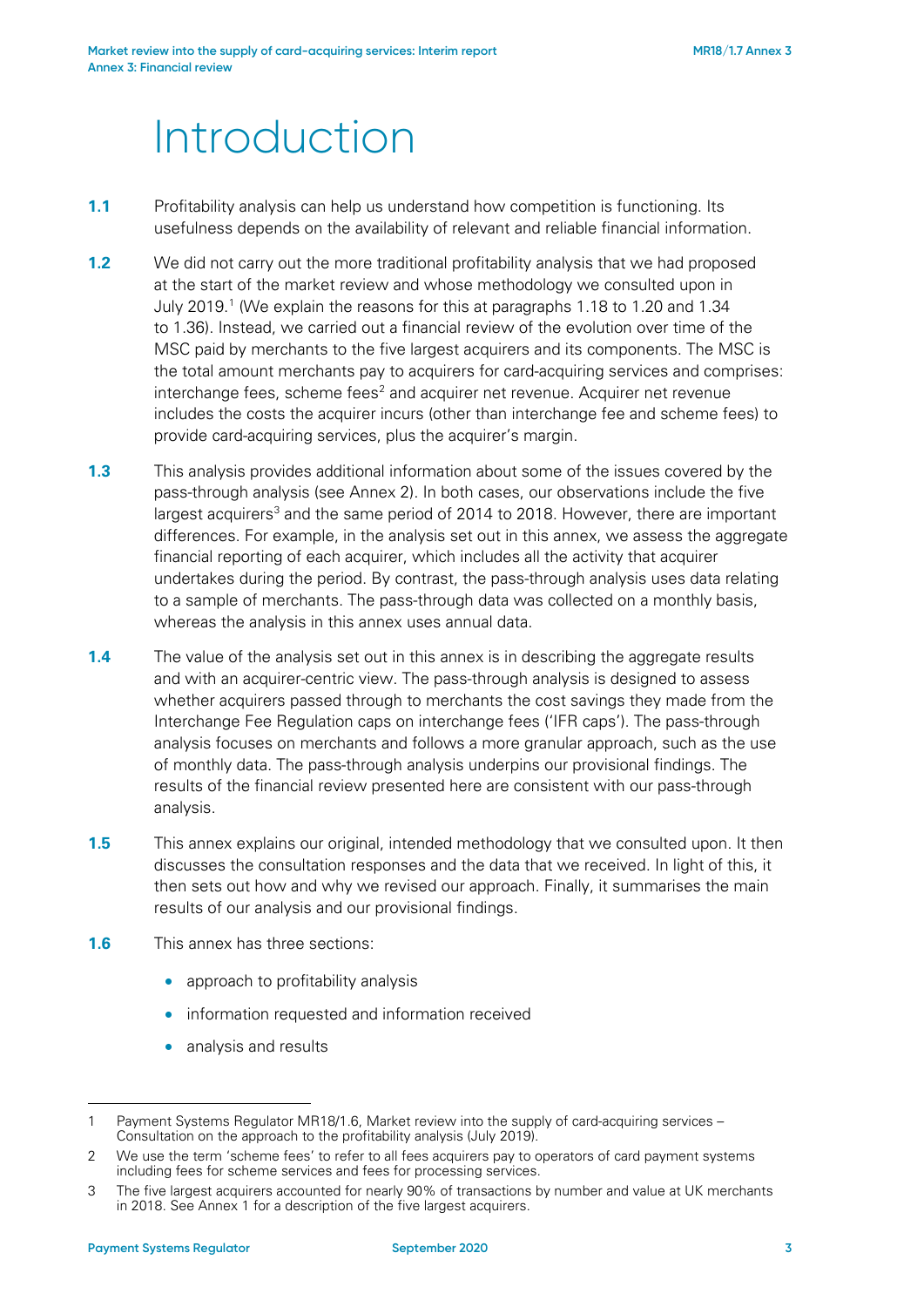# Introduction

- **1.1** Profitability analysis can help us understand how competition is functioning. Its usefulness depends on the availability of relevant and reliable financial information.
- **1.2** We did not carry out the more traditional profitability analysis that we had proposed at the start of the market review and whose methodology we consulted upon in July 2019. [1](#page-2-0) (We explain the reasons for this at paragraphs 1.18 to 1.20 and 1.34 to 1.36). Instead, we carried out a financial review of the evolution over time of the MSC paid by merchants to the five largest acquirers and its components. The MSC is the total amount merchants pay to acquirers for card-acquiring services and comprises: interchange fees, scheme fees<sup>[2](#page-2-1)</sup> and acquirer net revenue. Acquirer net revenue includes the costs the acquirer incurs (other than interchange fee and scheme fees) to provide card-acquiring services, plus the acquirer's margin.
- **1.3** This analysis provides additional information about some of the issues covered by the pass-through analysis (see Annex 2). In both cases, our observations include the five largest acquirers<sup>[3](#page-2-2)</sup> and the same period of 2014 to 2018. However, there are important differences. For example, in the analysis set out in this annex, we assess the aggregate financial reporting of each acquirer, which includes all the activity that acquirer undertakes during the period. By contrast, the pass-through analysis uses data relating to a sample of merchants. The pass-through data was collected on a monthly basis, whereas the analysis in this annex uses annual data.
- **1.4** The value of the analysis set out in this annex is in describing the aggregate results and with an acquirer-centric view. The pass-through analysis is designed to assess whether acquirers passed through to merchants the cost savings they made from the Interchange Fee Regulation caps on interchange fees ('IFR caps'). The pass-through analysis focuses on merchants and follows a more granular approach, such as the use of monthly data. The pass-through analysis underpins our provisional findings. The results of the financial review presented here are consistent with our pass-through analysis.
- **1.5** This annex explains our original, intended methodology that we consulted upon. It then discusses the consultation responses and the data that we received. In light of this, it then sets out how and why we revised our approach. Finally, it summarises the main results of our analysis and our provisional findings.
- **1.6** This annex has three sections:
	- approach to profitability analysis
	- information requested and information received
	- analysis and results

<span id="page-2-0"></span><sup>1</sup> Payment Systems Regulator MR18/1.6, Market review into the supply of card-acquiring services – Consultation on the approach to the profitability analysis (July 2019).

<span id="page-2-1"></span><sup>2</sup> We use the term 'scheme fees' to refer to all fees acquirers pay to operators of card payment systems including fees for scheme services and fees for processing services.

<span id="page-2-2"></span><sup>3</sup> The five largest acquirers accounted for nearly 90% of transactions by number and value at UK merchants in 2018. See Annex 1 for a description of the five largest acquirers.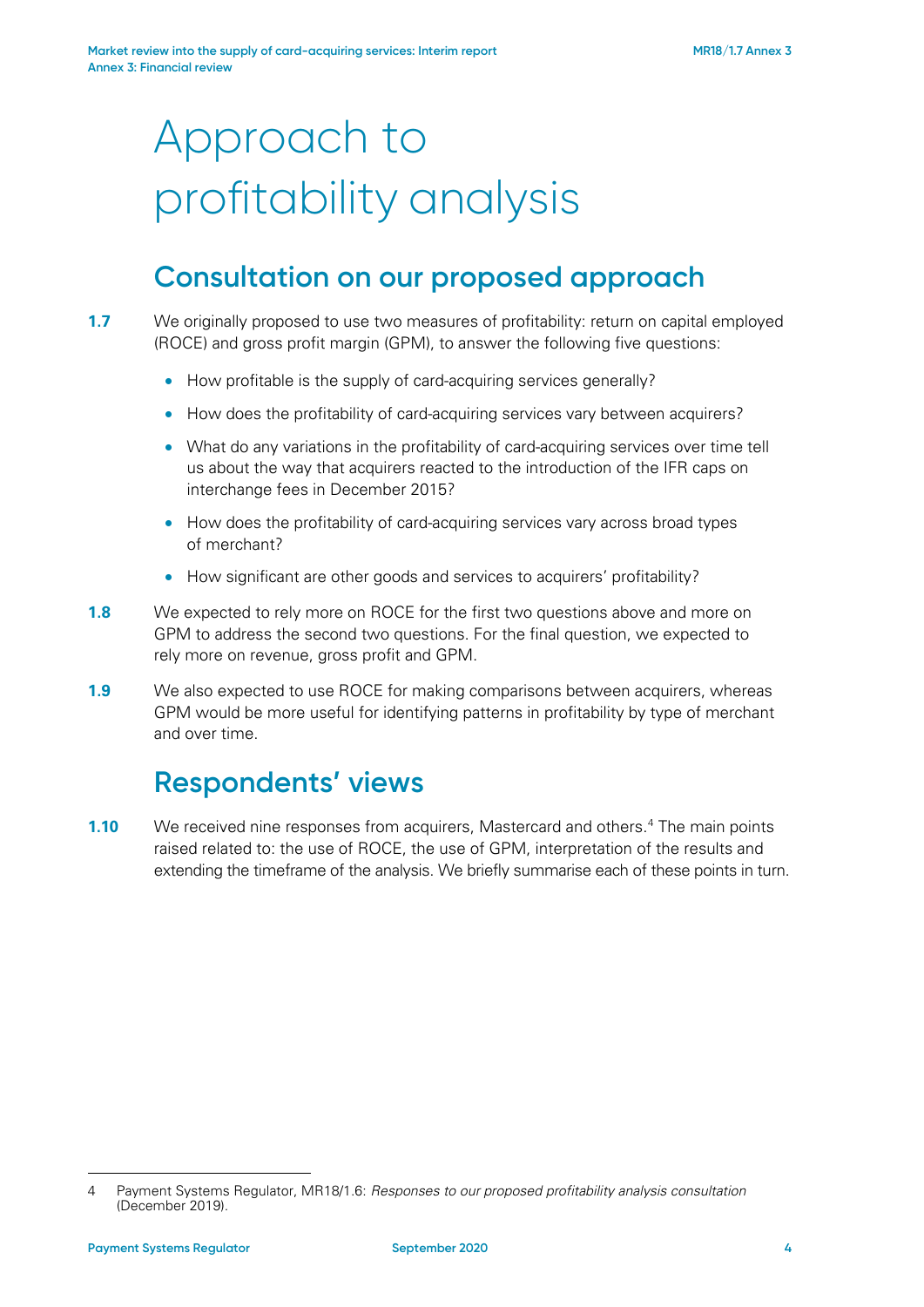# Approach to profitability analysis

### **Consultation on our proposed approach**

<span id="page-3-1"></span>**1.7** We originally proposed to use two measures of profitability: return on capital employed (ROCE) and gross profit margin (GPM), to answer the following five questions:

- How profitable is the supply of card-acquiring services generally?
- How does the profitability of card-acquiring services vary between acquirers?
- What do any variations in the profitability of card-acquiring services over time tell us about the way that acquirers reacted to the introduction of the IFR caps on interchange fees in December 2015?
- How does the profitability of card-acquiring services vary across broad types of merchant?
- How significant are other goods and services to acquirers' profitability?
- **1.8** We expected to rely more on ROCE for the first two questions above and more on GPM to address the second two questions. For the final question, we expected to rely more on revenue, gross profit and GPM.
- **1.9** We also expected to use ROCE for making comparisons between acquirers, whereas GPM would be more useful for identifying patterns in profitability by type of merchant and over time.

### **Respondents' views**

**1.10** We received nine responses from acquirers, Mastercard and others.<sup>[4](#page-3-0)</sup> The main points raised related to: the use of ROCE, the use of GPM, interpretation of the results and extending the timeframe of the analysis. We briefly summarise each of these points in turn.

<span id="page-3-0"></span><sup>-</sup>4 Payment Systems Regulator, MR18/1.6: *Responses to our proposed profitability analysis consultation* (December 2019).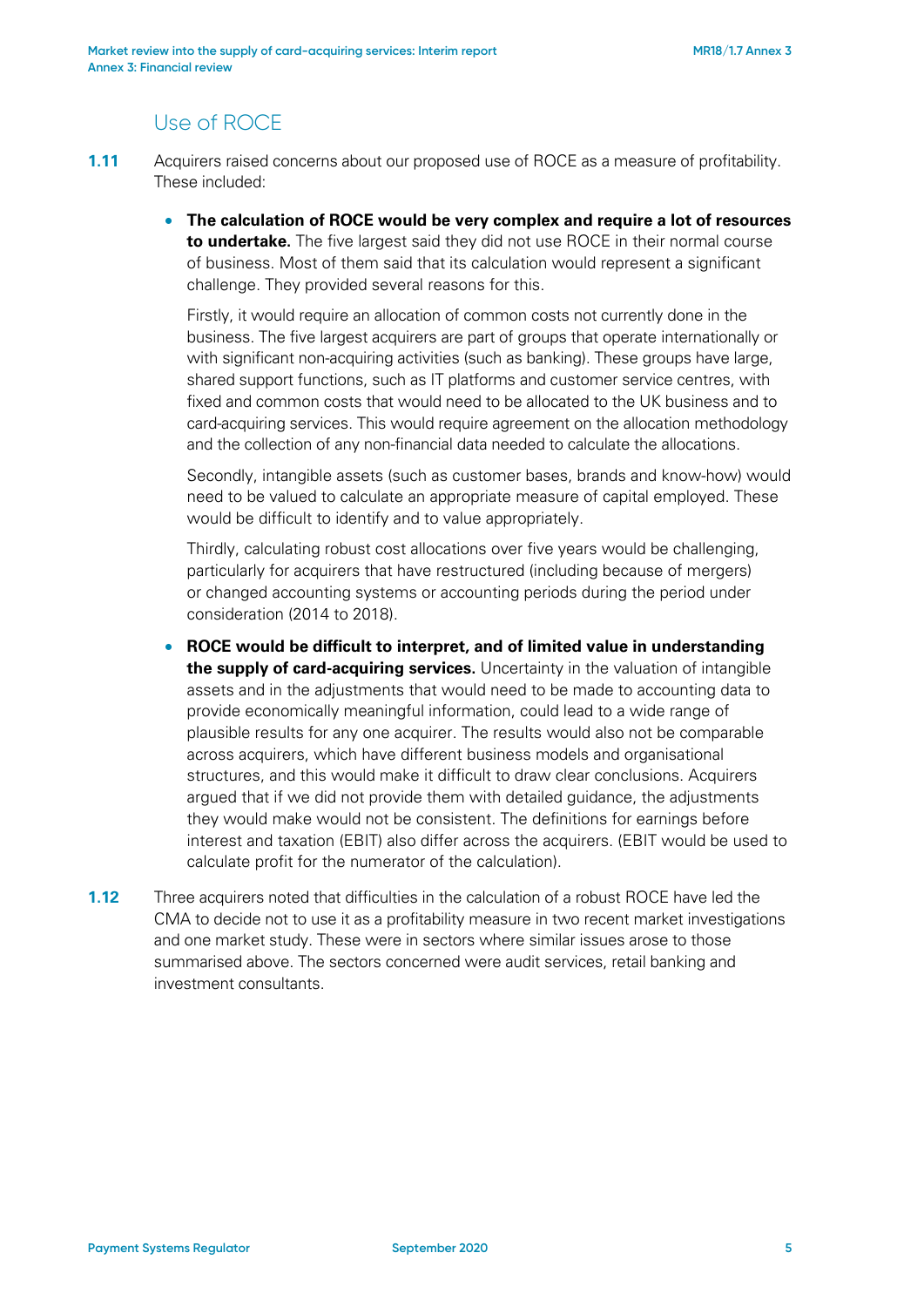### Use of ROCE

- **1.11** Acquirers raised concerns about our proposed use of ROCE as a measure of profitability. These included:
	- **The calculation of ROCE would be very complex and require a lot of resources to undertake.** The five largest said they did not use ROCE in their normal course of business. Most of them said that its calculation would represent a significant challenge. They provided several reasons for this.

Firstly, it would require an allocation of common costs not currently done in the business. The five largest acquirers are part of groups that operate internationally or with significant non-acquiring activities (such as banking). These groups have large, shared support functions, such as IT platforms and customer service centres, with fixed and common costs that would need to be allocated to the UK business and to card-acquiring services. This would require agreement on the allocation methodology and the collection of any non-financial data needed to calculate the allocations.

Secondly, intangible assets (such as customer bases, brands and know-how) would need to be valued to calculate an appropriate measure of capital employed. These would be difficult to identify and to value appropriately.

Thirdly, calculating robust cost allocations over five years would be challenging, particularly for acquirers that have restructured (including because of mergers) or changed accounting systems or accounting periods during the period under consideration (2014 to 2018).

- **ROCE would be difficult to interpret, and of limited value in understanding the supply of card-acquiring services.** Uncertainty in the valuation of intangible assets and in the adjustments that would need to be made to accounting data to provide economically meaningful information, could lead to a wide range of plausible results for any one acquirer. The results would also not be comparable across acquirers, which have different business models and organisational structures, and this would make it difficult to draw clear conclusions. Acquirers argued that if we did not provide them with detailed guidance, the adjustments they would make would not be consistent. The definitions for earnings before interest and taxation (EBIT) also differ across the acquirers. (EBIT would be used to calculate profit for the numerator of the calculation).
- **1.12** Three acquirers noted that difficulties in the calculation of a robust ROCE have led the CMA to decide not to use it as a profitability measure in two recent market investigations and one market study. These were in sectors where similar issues arose to those summarised above. The sectors concerned were audit services, retail banking and investment consultants.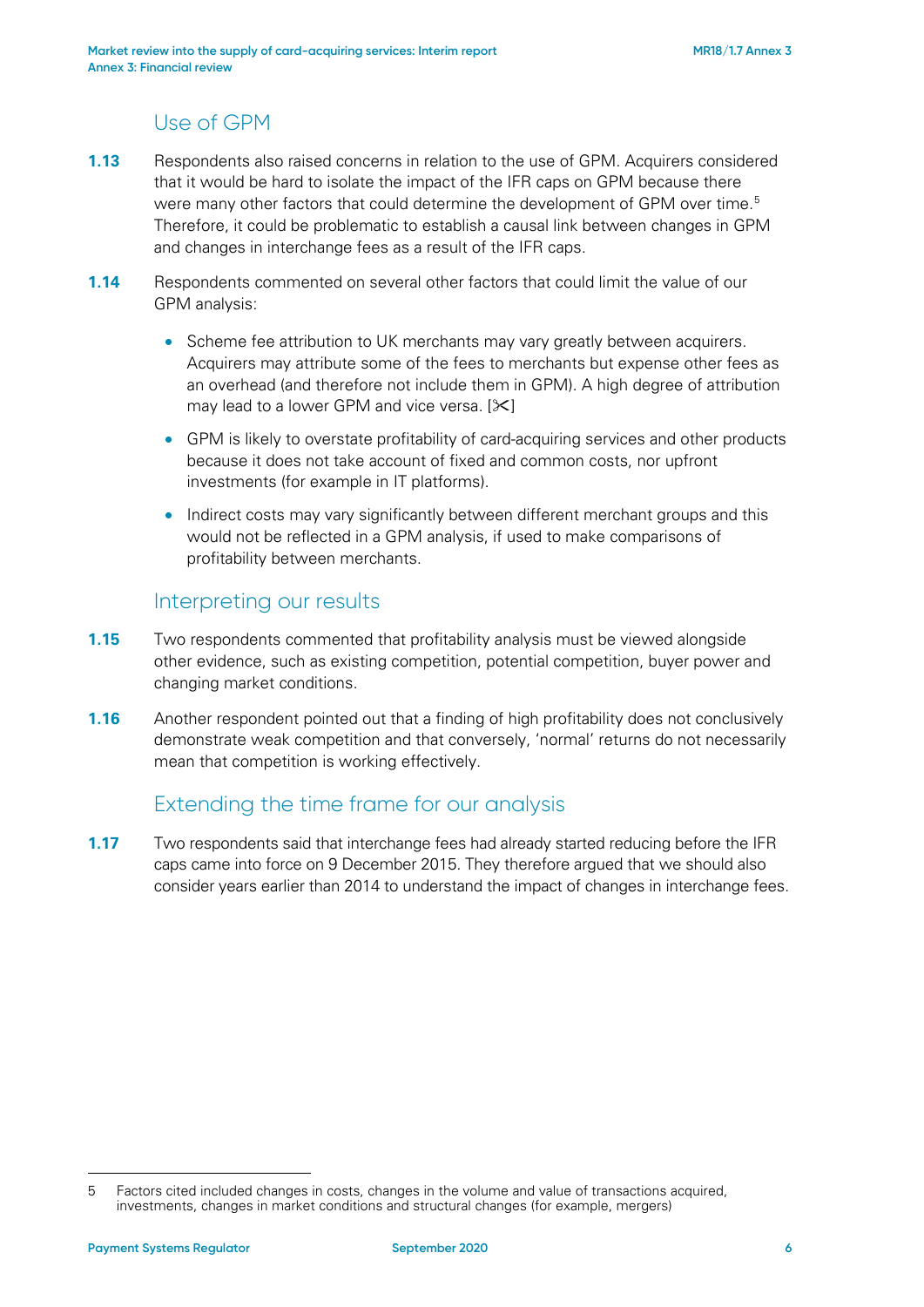#### Use of GPM

- **1.13** Respondents also raised concerns in relation to the use of GPM. Acquirers considered that it would be hard to isolate the impact of the IFR caps on GPM because there were many other factors that could determine the development of GPM over time.<sup>[5](#page-5-0)</sup> Therefore, it could be problematic to establish a causal link between changes in GPM and changes in interchange fees as a result of the IFR caps.
- **1.14** Respondents commented on several other factors that could limit the value of our GPM analysis:
	- Scheme fee attribution to UK merchants may vary greatly between acquirers. Acquirers may attribute some of the fees to merchants but expense other fees as an overhead (and therefore not include them in GPM). A high degree of attribution may lead to a lower GPM and vice versa.  $[\&]$
	- GPM is likely to overstate profitability of card-acquiring services and other products because it does not take account of fixed and common costs, nor upfront investments (for example in IT platforms).
	- Indirect costs may vary significantly between different merchant groups and this would not be reflected in a GPM analysis, if used to make comparisons of profitability between merchants.

#### Interpreting our results

- **1.15** Two respondents commented that profitability analysis must be viewed alongside other evidence, such as existing competition, potential competition, buyer power and changing market conditions.
- **1.16** Another respondent pointed out that a finding of high profitability does not conclusively demonstrate weak competition and that conversely, 'normal' returns do not necessarily mean that competition is working effectively.

#### Extending the time frame for our analysis

**1.17** Two respondents said that interchange fees had already started reducing before the IFR caps came into force on 9 December 2015. They therefore argued that we should also consider years earlier than 2014 to understand the impact of changes in interchange fees.

<span id="page-5-0"></span><sup>5</sup> Factors cited included changes in costs, changes in the volume and value of transactions acquired, investments, changes in market conditions and structural changes (for example, mergers)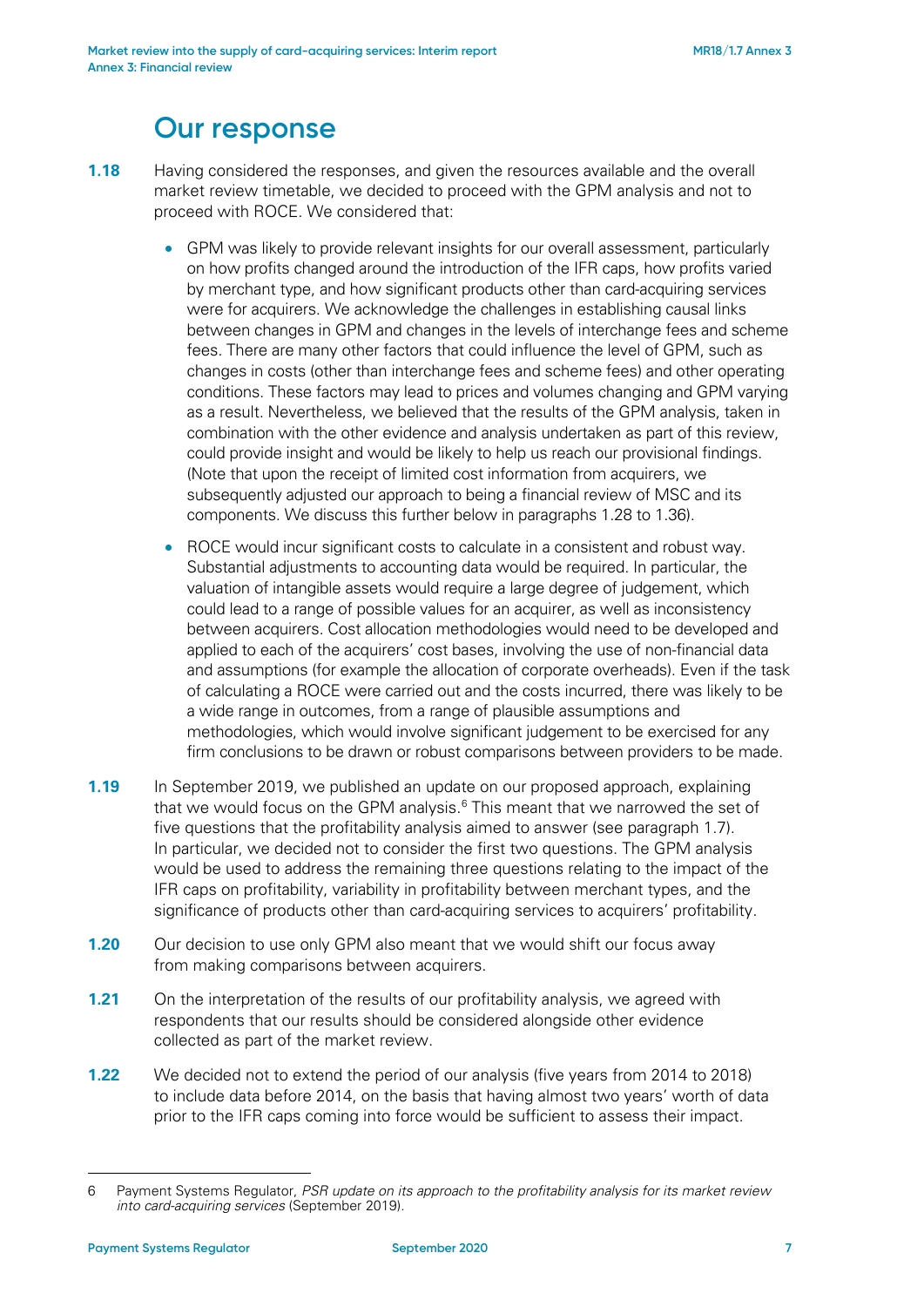### **Our response**

- **1.18** Having considered the responses, and given the resources available and the overall market review timetable, we decided to proceed with the GPM analysis and not to proceed with ROCE. We considered that:
	- GPM was likely to provide relevant insights for our overall assessment, particularly on how profits changed around the introduction of the IFR caps, how profits varied by merchant type, and how significant products other than card-acquiring services were for acquirers. We acknowledge the challenges in establishing causal links between changes in GPM and changes in the levels of interchange fees and scheme fees. There are many other factors that could influence the level of GPM, such as changes in costs (other than interchange fees and scheme fees) and other operating conditions. These factors may lead to prices and volumes changing and GPM varying as a result. Nevertheless, we believed that the results of the GPM analysis, taken in combination with the other evidence and analysis undertaken as part of this review, could provide insight and would be likely to help us reach our provisional findings. (Note that upon the receipt of limited cost information from acquirers, we subsequently adjusted our approach to being a financial review of MSC and its components. We discuss this further below in paragraphs [1.28](#page-7-0) to [1.36\)](#page-8-0).
	- ROCE would incur significant costs to calculate in a consistent and robust way. Substantial adjustments to accounting data would be required. In particular, the valuation of intangible assets would require a large degree of judgement, which could lead to a range of possible values for an acquirer, as well as inconsistency between acquirers. Cost allocation methodologies would need to be developed and applied to each of the acquirers' cost bases, involving the use of non-financial data and assumptions (for example the allocation of corporate overheads). Even if the task of calculating a ROCE were carried out and the costs incurred, there was likely to be a wide range in outcomes, from a range of plausible assumptions and methodologies, which would involve significant judgement to be exercised for any firm conclusions to be drawn or robust comparisons between providers to be made.
- **1.19** In September 2019, we published an update on our proposed approach, explaining that we would focus on the GPM analysis. $6$  This meant that we narrowed the set of five questions that the profitability analysis aimed to answer (see paragraph [1.7\)](#page-3-1). In particular, we decided not to consider the first two questions. The GPM analysis would be used to address the remaining three questions relating to the impact of the IFR caps on profitability, variability in profitability between merchant types, and the significance of products other than card-acquiring services to acquirers' profitability.
- **1.20** Our decision to use only GPM also meant that we would shift our focus away from making comparisons between acquirers.
- **1.21** On the interpretation of the results of our profitability analysis, we agreed with respondents that our results should be considered alongside other evidence collected as part of the market review.
- **1.22** We decided not to extend the period of our analysis (five years from 2014 to 2018) to include data before 2014, on the basis that having almost two years' worth of data prior to the IFR caps coming into force would be sufficient to assess their impact.

<span id="page-6-0"></span><sup>6</sup> Payment Systems Regulator, *PSR update on its approach to the profitability analysis for its market review into card-acquiring services* (September 2019).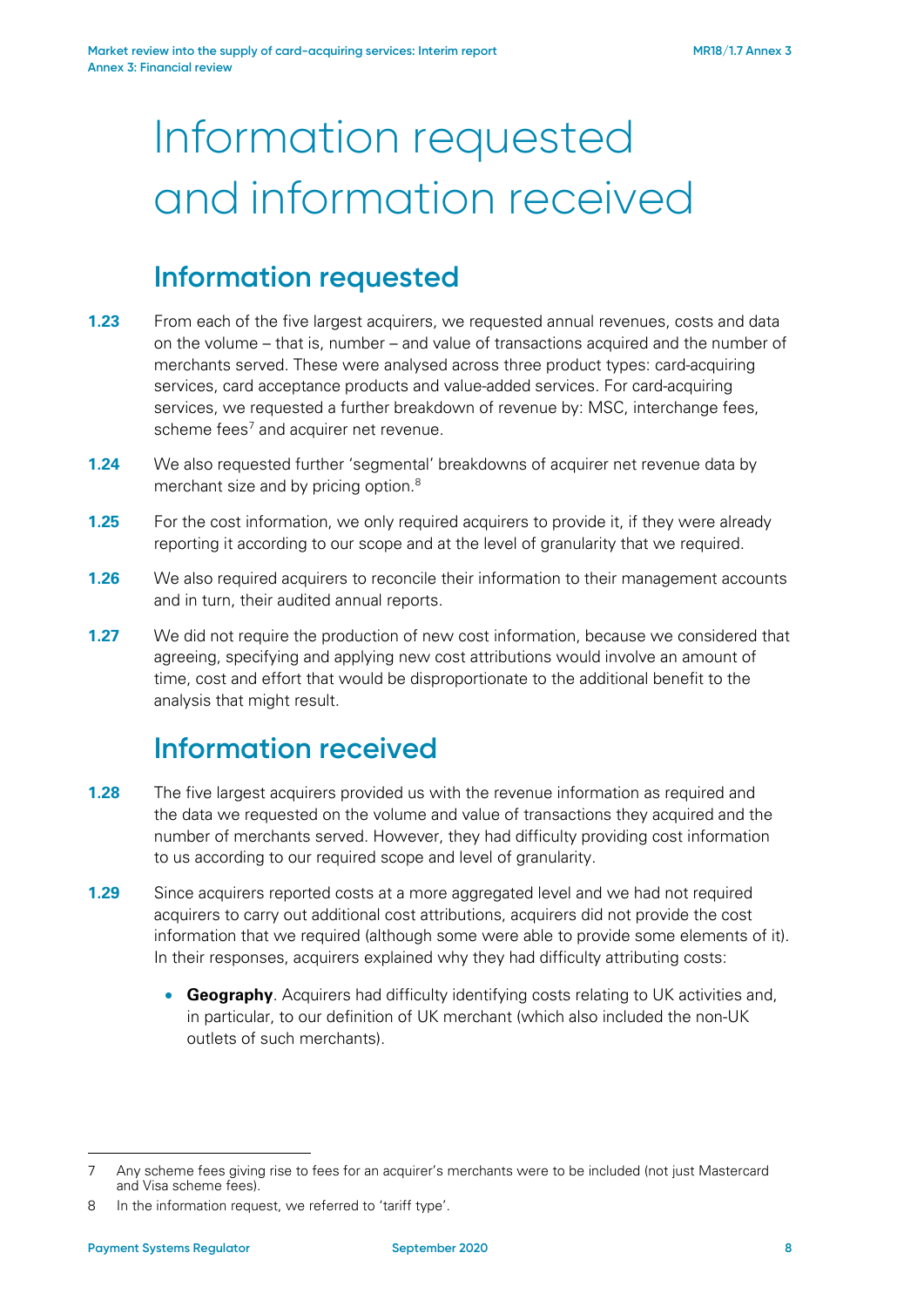# Information requested and information received

### **Information requested**

- **1.23** From each of the five largest acquirers, we requested annual revenues, costs and data on the volume – that is, number – and value of transactions acquired and the number of merchants served. These were analysed across three product types: card-acquiring services, card acceptance products and value-added services. For card-acquiring services, we requested a further breakdown of revenue by: MSC, interchange fees, scheme fees<sup>7</sup> and acquirer net revenue.
- **1.24** We also requested further 'segmental' breakdowns of acquirer net revenue data by merchant size and by pricing option.<sup>[8](#page-7-2)</sup>
- **1.25** For the cost information, we only required acquirers to provide it, if they were already reporting it according to our scope and at the level of granularity that we required.
- **1.26** We also required acquirers to reconcile their information to their management accounts and in turn, their audited annual reports.
- **1.27** We did not require the production of new cost information, because we considered that agreeing, specifying and applying new cost attributions would involve an amount of time, cost and effort that would be disproportionate to the additional benefit to the analysis that might result.

## **Information received**

- <span id="page-7-0"></span>**1.28** The five largest acquirers provided us with the revenue information as required and the data we requested on the volume and value of transactions they acquired and the number of merchants served. However, they had difficulty providing cost information to us according to our required scope and level of granularity.
- <span id="page-7-3"></span>**1.29** Since acquirers reported costs at a more aggregated level and we had not required acquirers to carry out additional cost attributions, acquirers did not provide the cost information that we required (although some were able to provide some elements of it). In their responses, acquirers explained why they had difficulty attributing costs:
	- **Geography**. Acquirers had difficulty identifying costs relating to UK activities and, in particular, to our definition of UK merchant (which also included the non-UK outlets of such merchants).

<span id="page-7-1"></span><sup>7</sup> Any scheme fees giving rise to fees for an acquirer's merchants were to be included (not just Mastercard and Visa scheme fees).

<span id="page-7-2"></span><sup>8</sup> In the information request, we referred to 'tariff type'.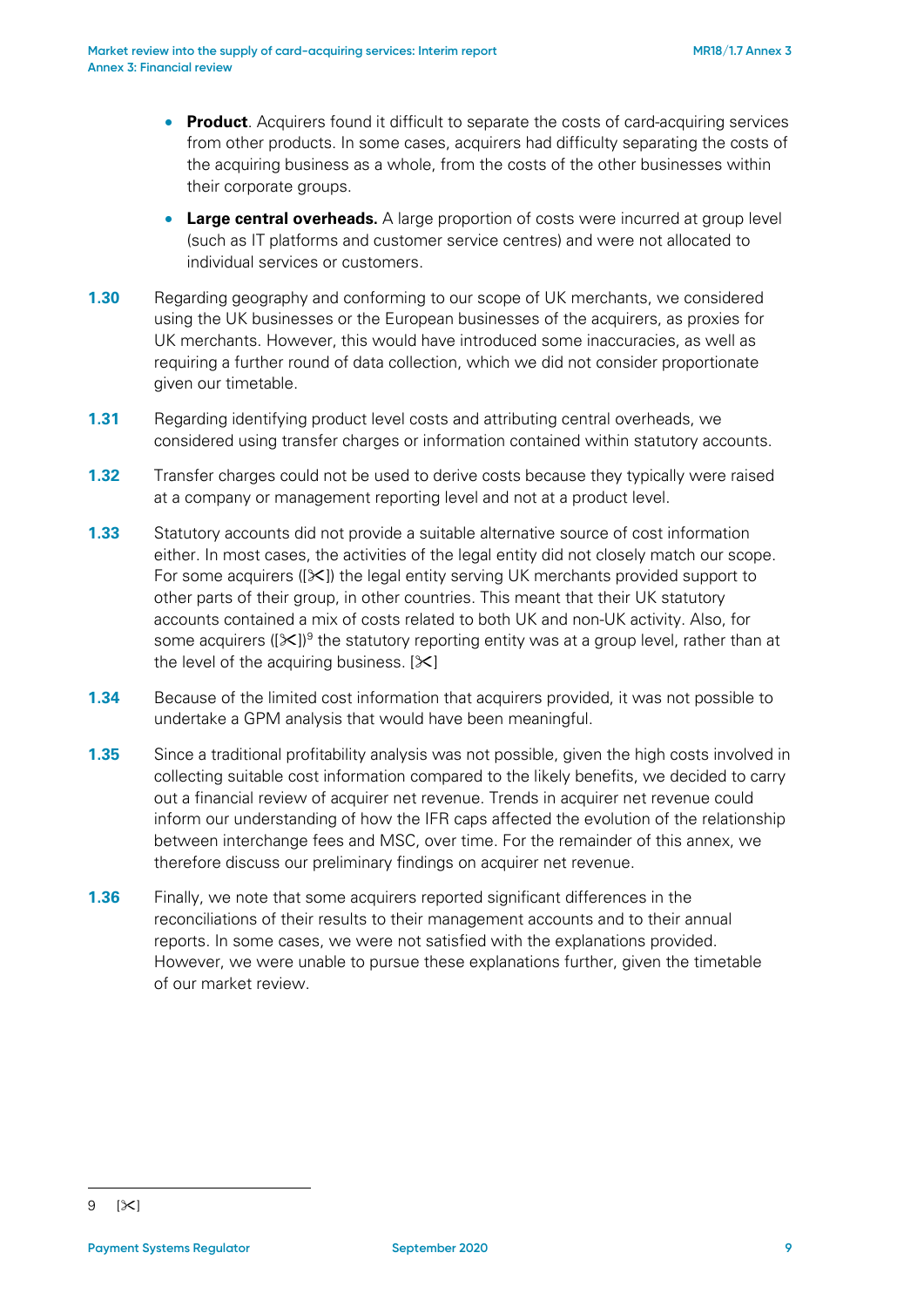- **Product**. Acquirers found it difficult to separate the costs of card-acquiring services from other products. In some cases, acquirers had difficulty separating the costs of the acquiring business as a whole, from the costs of the other businesses within their corporate groups.
- **Large central overheads.** A large proportion of costs were incurred at group level (such as IT platforms and customer service centres) and were not allocated to individual services or customers.
- **1.30** Regarding geography and conforming to our scope of UK merchants, we considered using the UK businesses or the European businesses of the acquirers, as proxies for UK merchants. However, this would have introduced some inaccuracies, as well as requiring a further round of data collection, which we did not consider proportionate given our timetable.
- **1.31** Regarding identifying product level costs and attributing central overheads, we considered using transfer charges or information contained within statutory accounts.
- **1.32** Transfer charges could not be used to derive costs because they typically were raised at a company or management reporting level and not at a product level.
- **1.33** Statutory accounts did not provide a suitable alternative source of cost information either. In most cases, the activities of the legal entity did not closely match our scope. For some acquirers ( $[\&$ ) the legal entity serving UK merchants provided support to other parts of their group, in other countries. This meant that their UK statutory accounts contained a mix of costs related to both UK and non-UK activity. Also, for some acquirers ( $[\mathcal{K}]^9$  $[\mathcal{K}]^9$  the statutory reporting entity was at a group level, rather than at the level of the acquiring business.  $[35]$
- **1.34** Because of the limited cost information that acquirers provided, it was not possible to undertake a GPM analysis that would have been meaningful.
- **1.35** Since a traditional profitability analysis was not possible, given the high costs involved in collecting suitable cost information compared to the likely benefits, we decided to carry out a financial review of acquirer net revenue. Trends in acquirer net revenue could inform our understanding of how the IFR caps affected the evolution of the relationship between interchange fees and MSC, over time. For the remainder of this annex, we therefore discuss our preliminary findings on acquirer net revenue.
- <span id="page-8-0"></span>**1.36** Finally, we note that some acquirers reported significant differences in the reconciliations of their results to their management accounts and to their annual reports. In some cases, we were not satisfied with the explanations provided. However, we were unable to pursue these explanations further, given the timetable of our market review.

<span id="page-8-1"></span><sup>-</sup> $9$  [ $\times$ ]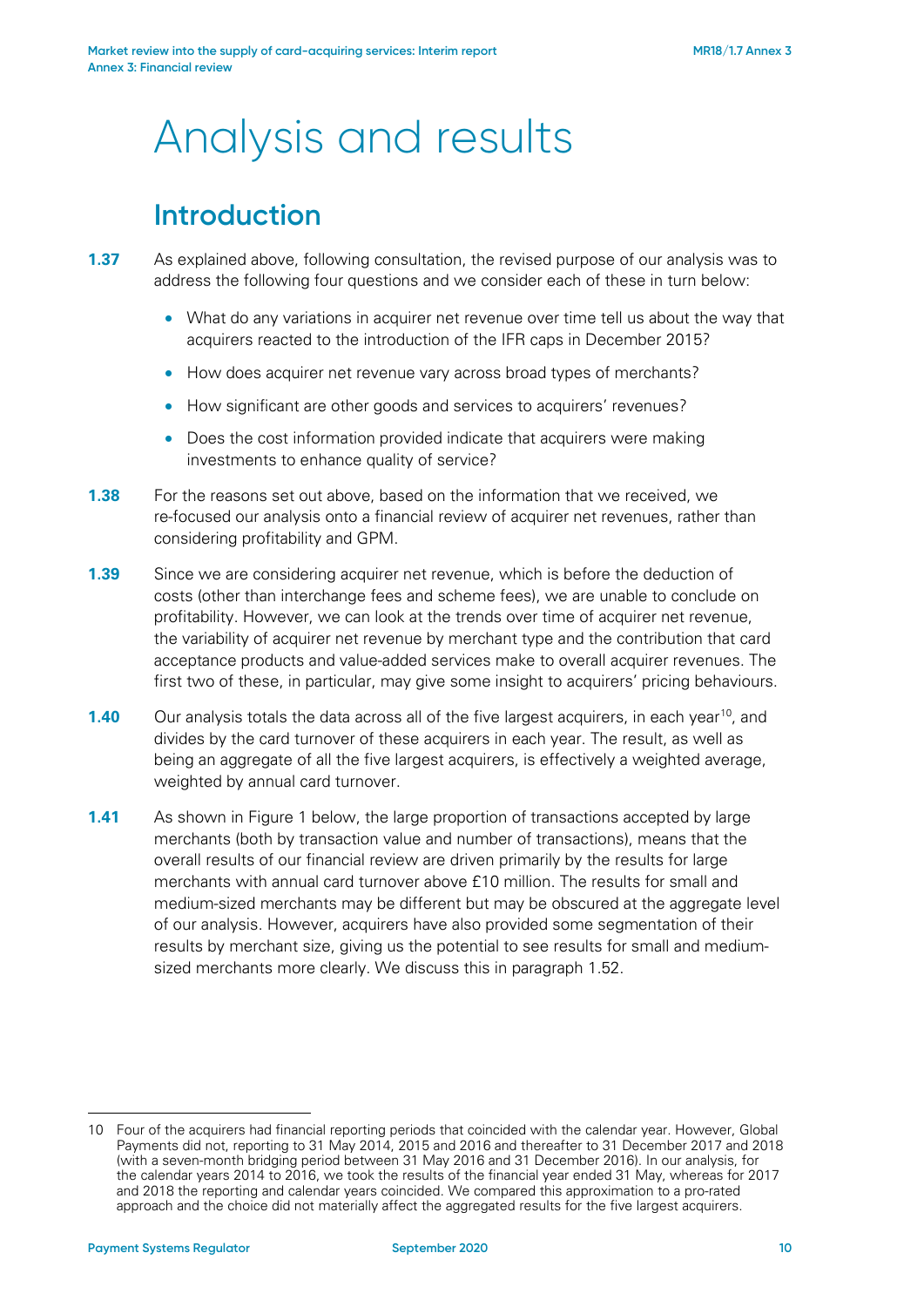# Analysis and results

## **Introduction**

- **1.37** As explained above, following consultation, the revised purpose of our analysis was to address the following four questions and we consider each of these in turn below:
	- What do any variations in acquirer net revenue over time tell us about the way that acquirers reacted to the introduction of the IFR caps in December 2015?
	- How does acquirer net revenue vary across broad types of merchants?
	- How significant are other goods and services to acquirers' revenues?
	- Does the cost information provided indicate that acquirers were making investments to enhance quality of service?
- **1.38** For the reasons set out above, based on the information that we received, we re-focused our analysis onto a financial review of acquirer net revenues, rather than considering profitability and GPM.
- **1.39** Since we are considering acquirer net revenue, which is before the deduction of costs (other than interchange fees and scheme fees), we are unable to conclude on profitability. However, we can look at the trends over time of acquirer net revenue, the variability of acquirer net revenue by merchant type and the contribution that card acceptance products and value-added services make to overall acquirer revenues. The first two of these, in particular, may give some insight to acquirers' pricing behaviours.
- **1.40** Our analysis totals the data across all of the five largest acquirers, in each year<sup>10</sup>, and divides by the card turnover of these acquirers in each year. The result, as well as being an aggregate of all the five largest acquirers, is effectively a weighted average, weighted by annual card turnover.
- **1.41** As shown in [Figure 1](#page-10-0) below, the large proportion of transactions accepted by large merchants (both by transaction value and number of transactions), means that the overall results of our financial review are driven primarily by the results for large merchants with annual card turnover above £10 million. The results for small and medium-sized merchants may be different but may be obscured at the aggregate level of our analysis. However, acquirers have also provided some segmentation of their results by merchant size, giving us the potential to see results for small and mediumsized merchants more clearly. We discuss this in paragrap[h 1.52.](#page-14-0)

<span id="page-9-0"></span><sup>10</sup> Four of the acquirers had financial reporting periods that coincided with the calendar year. However, Global Payments did not, reporting to 31 May 2014, 2015 and 2016 and thereafter to 31 December 2017 and 2018 (with a seven-month bridging period between 31 May 2016 and 31 December 2016). In our analysis, for the calendar years 2014 to 2016, we took the results of the financial year ended 31 May, whereas for 2017 and 2018 the reporting and calendar years coincided. We compared this approximation to a pro-rated approach and the choice did not materially affect the aggregated results for the five largest acquirers.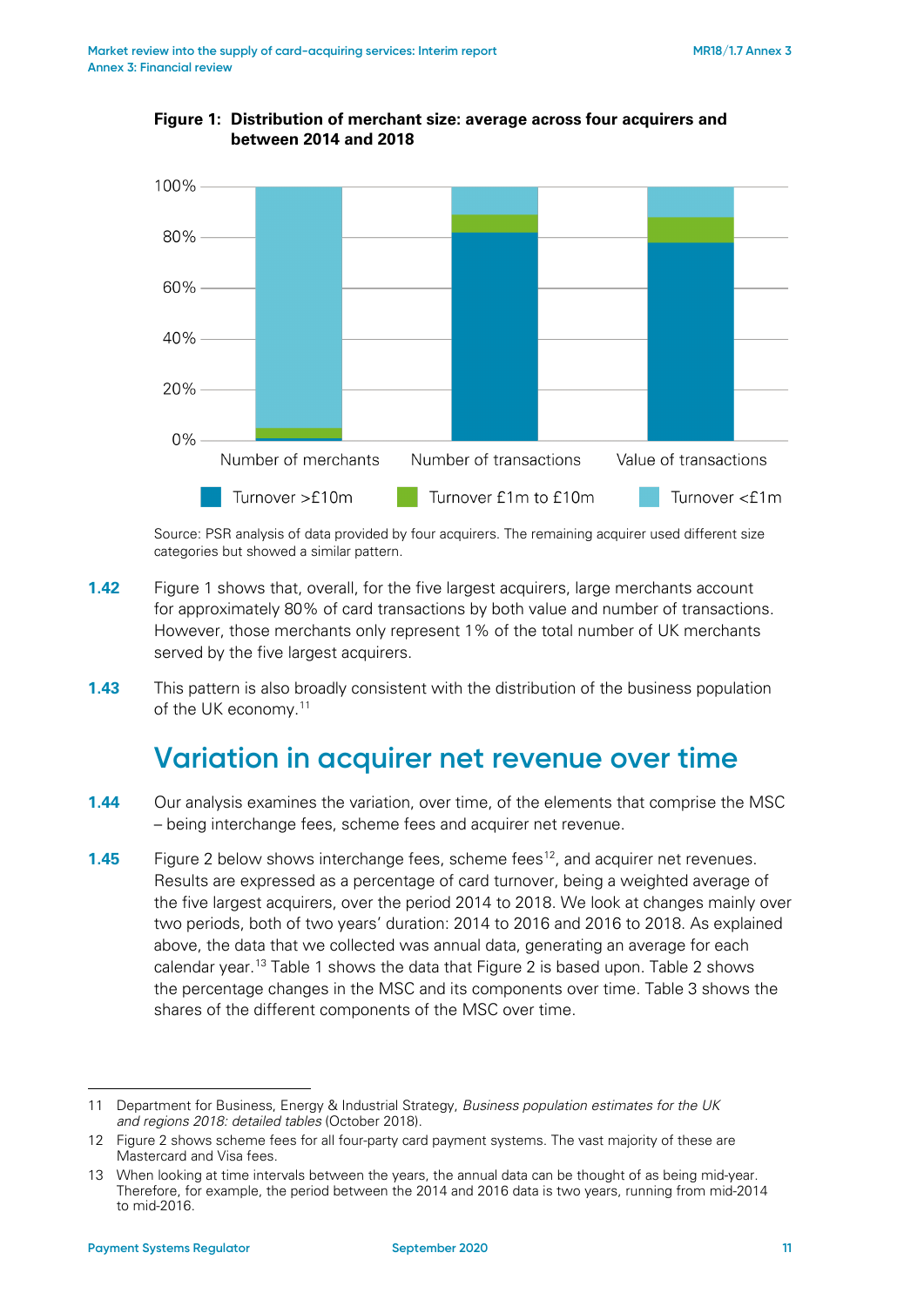

<span id="page-10-0"></span>**Figure 1: Distribution of merchant size: average across four acquirers and between 2014 and 2018**

Source: PSR analysis of data provided by four acquirers. The remaining acquirer used different size categories but showed a similar pattern.

- **1.42** [Figure 1](#page-10-0) shows that, overall, for the five largest acquirers, large merchants account for approximately 80% of card transactions by both value and number of transactions. However, those merchants only represent 1% of the total number of UK merchants served by the five largest acquirers.
- **1.43** This pattern is also broadly consistent with the distribution of the business population of the UK economy.[11](#page-10-1)

### **Variation in acquirer net revenue over time**

- **1.44** Our analysis examines the variation, over time, of the elements that comprise the MSC – being interchange fees, scheme fees and acquirer net revenue.
- **1.45** [Figure 2](#page-11-0) below shows interchange fees, scheme fees<sup>12</sup>, and acquirer net revenues. Results are expressed as a percentage of card turnover, being a weighted average of the five largest acquirers, over the period 2014 to 2018. We look at changes mainly over two periods, both of two years' duration: 2014 to 2016 and 2016 to 2018. As explained above, the data that we collected was annual data, generating an average for each calendar year. [13](#page-10-3) [Table 1](#page-11-1) shows the data that Figure 2 is based upon. [Table 2](#page-11-2) shows the percentage changes in the MSC and its components over time. [Table 3](#page-12-0) shows the shares of the different components of the MSC over time.

<span id="page-10-1"></span><sup>11</sup> Department for Business, Energy & Industrial Strategy, *Business population estimates for the UK and regions 2018: detailed tables* (October 2018).

<span id="page-10-2"></span><sup>12</sup> Figure 2 shows scheme fees for all four-party card payment systems. The vast majority of these are Mastercard and Visa fees.

<span id="page-10-3"></span><sup>13</sup> When looking at time intervals between the years, the annual data can be thought of as being mid-year. Therefore, for example, the period between the 2014 and 2016 data is two years, running from mid-2014 to mid-2016.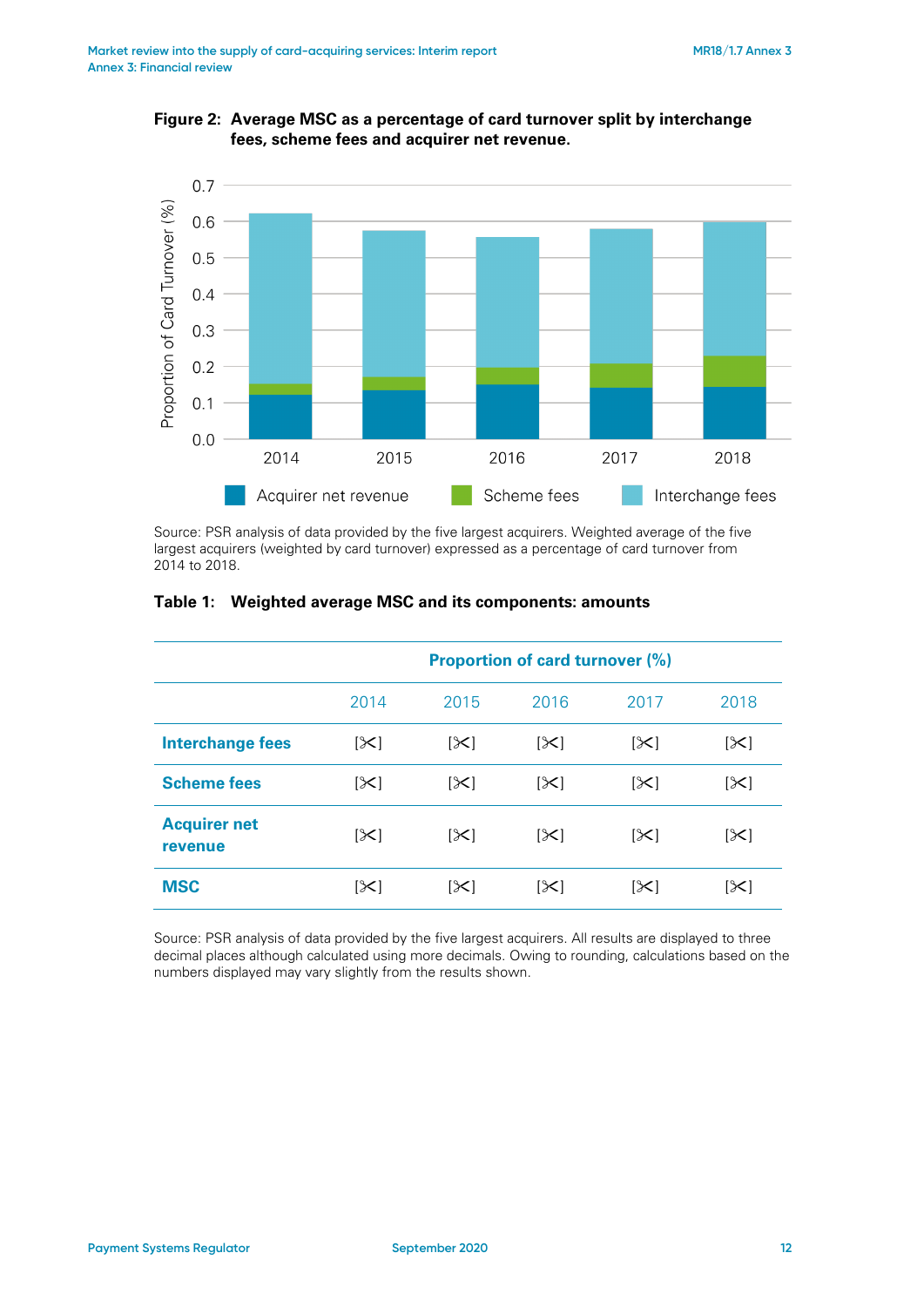<span id="page-11-0"></span>



Source: PSR analysis of data provided by the five largest acquirers. Weighted average of the five largest acquirers (weighted by card turnover) expressed as a percentage of card turnover from 2014 to 2018.

|                                | <b>Proportion of card turnover (%)</b> |            |            |            |      |
|--------------------------------|----------------------------------------|------------|------------|------------|------|
|                                | 2014                                   | 2015       | 2016       | 2017       | 2018 |
| <b>Interchange fees</b>        | [≻]                                    | $[\infty]$ | $[\times]$ | $[\times]$ | [≻]  |
| <b>Scheme fees</b>             | [≻]                                    | $ \geq$    | $ \times $ | $[\times]$ | [≻]  |
| <b>Acquirer net</b><br>revenue | $[\times]$                             | $[\times]$ | $[\times]$ | $[\times]$ | [≻]  |
| <b>MSC</b>                     | [≻]                                    | $[\times]$ | [X]        | $[\times]$ | [≻   |

#### <span id="page-11-1"></span>**Table 1: Weighted average MSC and its components: amounts**

<span id="page-11-2"></span>Source: PSR analysis of data provided by the five largest acquirers. All results are displayed to three decimal places although calculated using more decimals. Owing to rounding, calculations based on the numbers displayed may vary slightly from the results shown.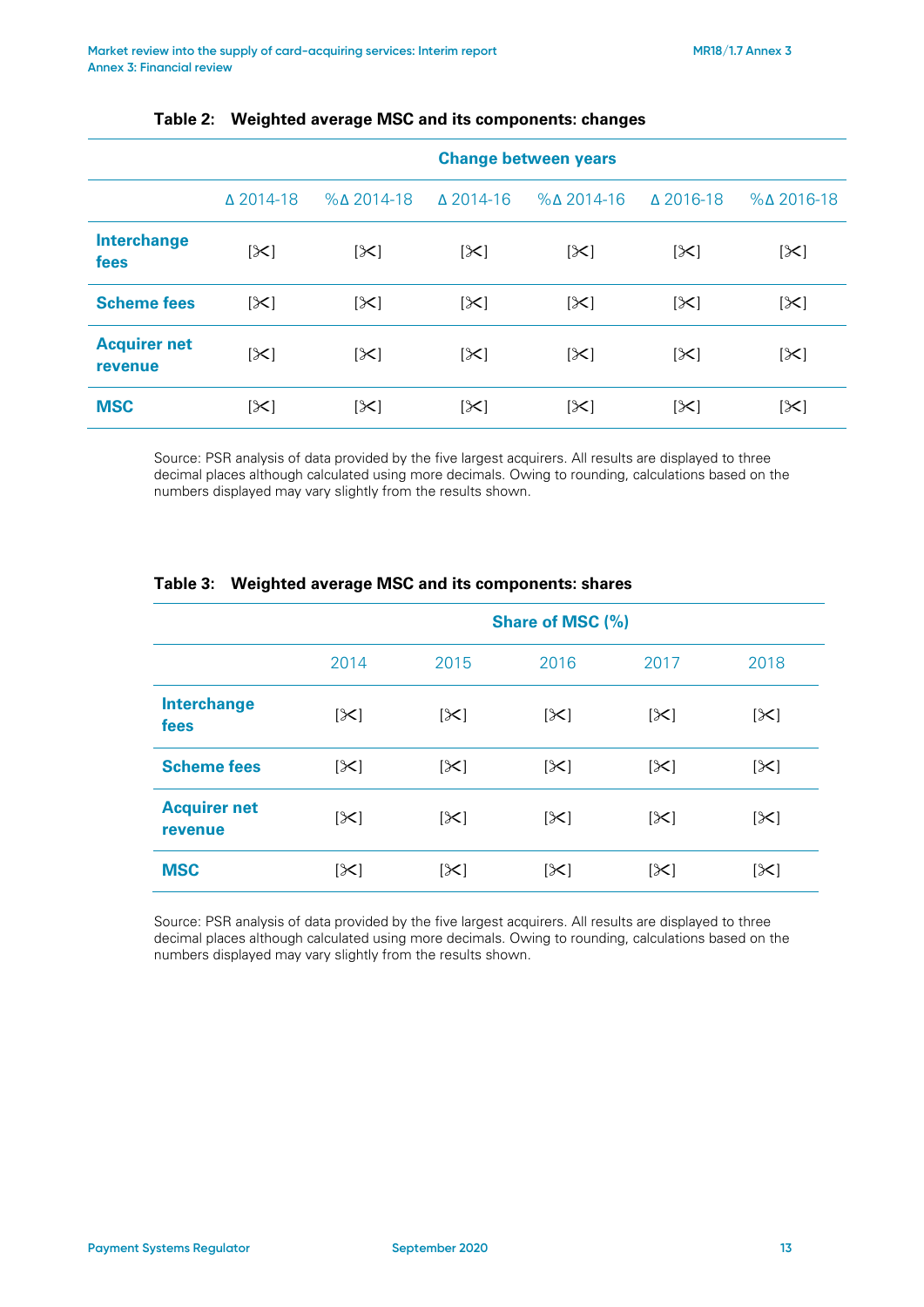|                                | <b>Change between years</b> |                         |                   |                         |                  |                         |
|--------------------------------|-----------------------------|-------------------------|-------------------|-------------------------|------------------|-------------------------|
|                                | △ 2014-18                   | $%$ $\triangle$ 2014-18 | $\Lambda$ 2014-16 | $%$ $\triangle$ 2014-16 | $\Delta$ 2016-18 | $%$ $\triangle$ 2016-18 |
| <b>Interchange</b><br>fees     | $[\times]$                  | $[\times]$              | $[\times]$        | $[\times]$              | [≻]              | $[\times]$              |
| <b>Scheme fees</b>             | $ \mathcal{X} $             | [≻]                     | $[\times]$        | $[\times]$              | $ \mathcal{X} $  | $[\times]$              |
| <b>Acquirer net</b><br>revenue | $[\times]$                  | $[\times]$              | $[\times]$        | $[\times]$              | $[\times]$       | $[\times]$              |
| <b>MSC</b>                     | [≻]                         | $[\times]$              | $[\times]$        | $[\times]$              | $[\times]$       | $[\times]$              |

#### **Table 2: Weighted average MSC and its components: changes**

Source: PSR analysis of data provided by the five largest acquirers. All results are displayed to three decimal places although calculated using more decimals. Owing to rounding, calculations based on the numbers displayed may vary slightly from the results shown.

|                                | <b>Share of MSC (%)</b> |                |            |            |            |
|--------------------------------|-------------------------|----------------|------------|------------|------------|
|                                | 2014                    | 2015           | 2016       | 2017       | 2018       |
| <b>Interchange</b><br>fees     | [≻]                     | $[\times]$     | $[\times]$ | $[\times]$ | [ $\ge$ ]  |
| <b>Scheme fees</b>             | $[\times]$              | $[\times]$     | $[\times]$ | $[\times]$ | $[\times]$ |
| <b>Acquirer net</b><br>revenue | $[\times]$              | $[\mathsf{X}]$ | $[\times]$ | $[\times]$ | $[\times]$ |
| <b>MSC</b>                     | [≻]                     | $[\times]$     | [≻]        | [≻]        | [≻]        |

#### <span id="page-12-0"></span>**Table 3: Weighted average MSC and its components: shares**

Source: PSR analysis of data provided by the five largest acquirers. All results are displayed to three decimal places although calculated using more decimals. Owing to rounding, calculations based on the numbers displayed may vary slightly from the results shown.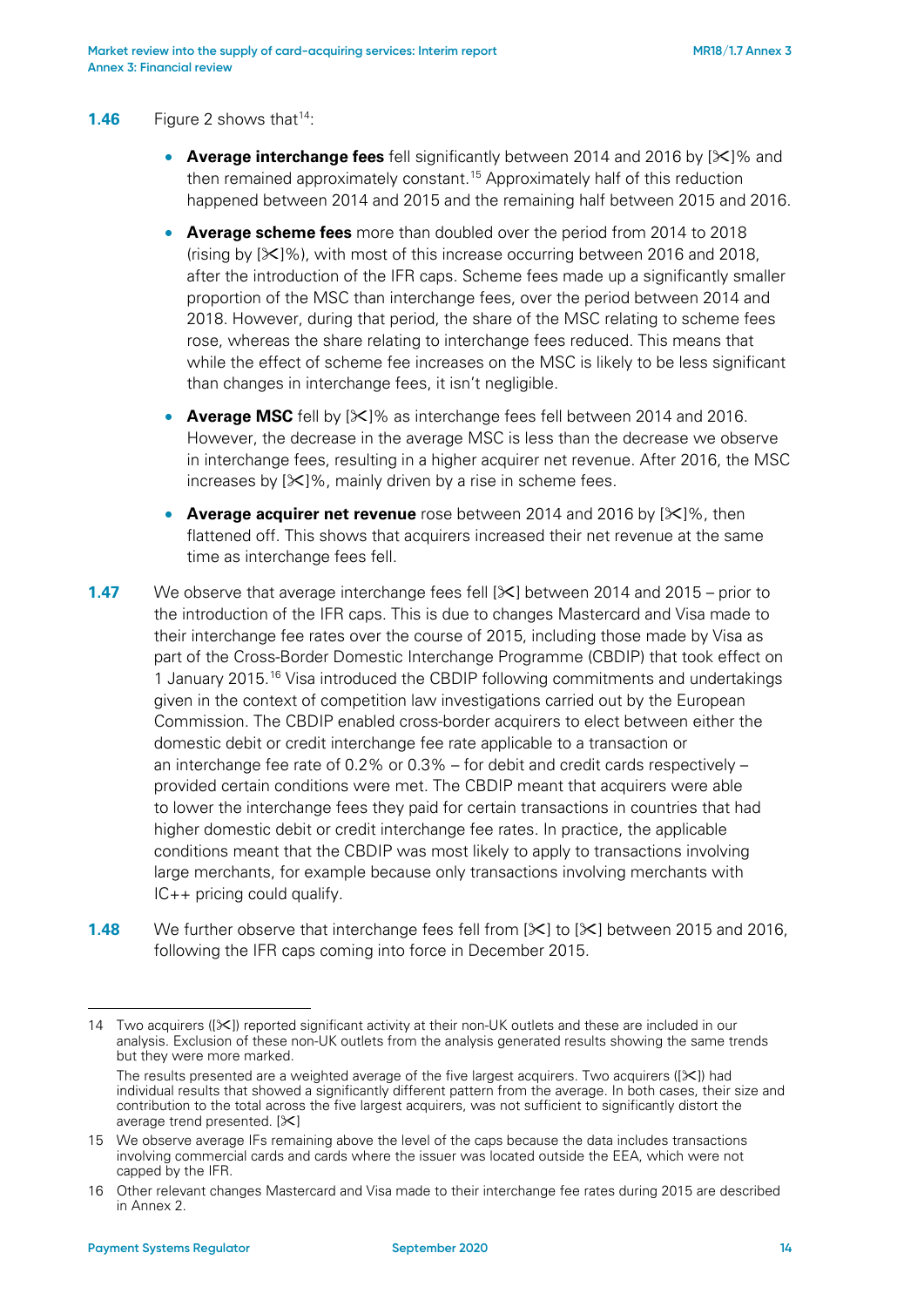#### **1.46** Figure 2 shows that<sup>14</sup>:

- **Average interchange fees** fell significantly between 2014 and 2016 by  $[\times]$ % and then remained approximately constant.<sup>[15](#page-13-1)</sup> Approximately half of this reduction happened between 2014 and 2015 and the remaining half between 2015 and 2016.
- **Average scheme fees** more than doubled over the period from 2014 to 2018 (rising by  $[\mathcal{K}]$ %), with most of this increase occurring between 2016 and 2018, after the introduction of the IFR caps. Scheme fees made up a significantly smaller proportion of the MSC than interchange fees, over the period between 2014 and 2018. However, during that period, the share of the MSC relating to scheme fees rose, whereas the share relating to interchange fees reduced. This means that while the effect of scheme fee increases on the MSC is likely to be less significant than changes in interchange fees, it isn't negligible.
- **Average MSC** fell by  $[\infty]$ % as interchange fees fell between 2014 and 2016. However, the decrease in the average MSC is less than the decrease we observe in interchange fees, resulting in a higher acquirer net revenue. After 2016, the MSC increases by  $[\mathcal{K}]$ %, mainly driven by a rise in scheme fees.
- **Average acquirer net revenue** rose between 2014 and 2016 by [ $\angle$ ]%, then flattened off. This shows that acquirers increased their net revenue at the same time as interchange fees fell.
- **1.47** We observe that average interchange fees fell  $[\times]$  between 2014 and 2015 prior to the introduction of the IFR caps. This is due to changes Mastercard and Visa made to their interchange fee rates over the course of 2015, including those made by Visa as part of the Cross-Border Domestic Interchange Programme (CBDIP) that took effect on 1 January 2015.[16](#page-13-2) Visa introduced the CBDIP following commitments and undertakings given in the context of competition law investigations carried out by the European Commission. The CBDIP enabled cross-border acquirers to elect between either the domestic debit or credit interchange fee rate applicable to a transaction or an interchange fee rate of 0.2% or 0.3% – for debit and credit cards respectively – provided certain conditions were met. The CBDIP meant that acquirers were able to lower the interchange fees they paid for certain transactions in countries that had higher domestic debit or credit interchange fee rates. In practice, the applicable conditions meant that the CBDIP was most likely to apply to transactions involving large merchants, for example because only transactions involving merchants with IC++ pricing could qualify.
- **1.48** We further observe that interchange fees fell from  $[\mathbb{X}]$  to  $[\mathbb{X}]$  between 2015 and 2016, following the IFR caps coming into force in December 2015.

<u>.</u>

<span id="page-13-0"></span><sup>14</sup> Two acquirers ([ $\angle$ ]) reported significant activity at their non-UK outlets and these are included in our analysis. Exclusion of these non-UK outlets from the analysis generated results showing the same trends but they were more marked.

The results presented are a weighted average of the five largest acquirers. Two acquirers  $(\le)$  had individual results that showed a significantly different pattern from the average. In both cases, their size and contribution to the total across the five largest acquirers, was not sufficient to significantly distort the average trend presented.  $[\times]$ 

<span id="page-13-1"></span><sup>15</sup> We observe average IFs remaining above the level of the caps because the data includes transactions involving commercial cards and cards where the issuer was located outside the EEA, which were not capped by the IFR.

<span id="page-13-2"></span><sup>16</sup> Other relevant changes Mastercard and Visa made to their interchange fee rates during 2015 are described in Annex 2.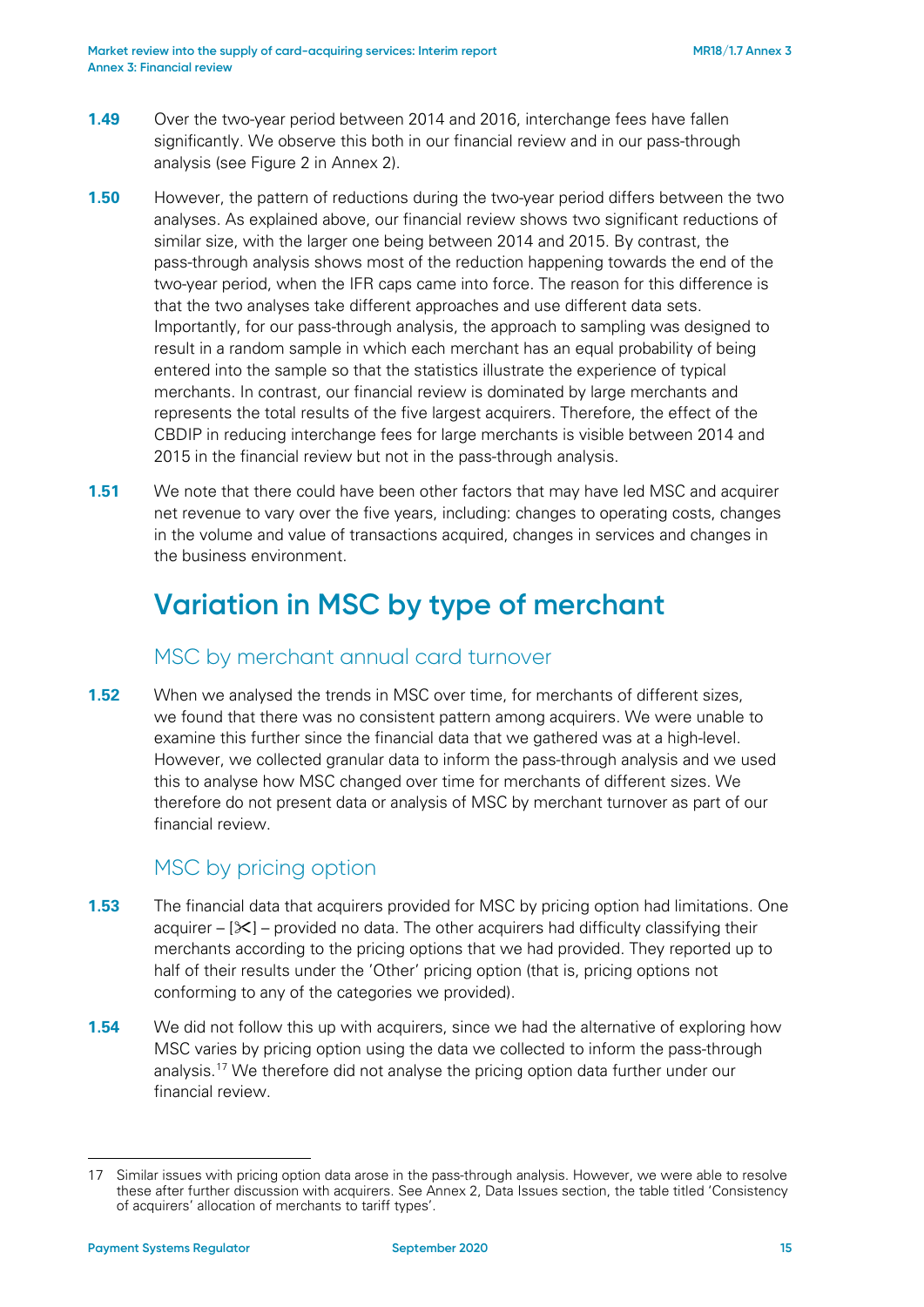- **1.49** Over the two-year period between 2014 and 2016, interchange fees have fallen significantly. We observe this both in our financial review and in our pass-through analysis (see Figure 2 in Annex 2).
- **1.50** However, the pattern of reductions during the two-year period differs between the two analyses. As explained above, our financial review shows two significant reductions of similar size, with the larger one being between 2014 and 2015. By contrast, the pass-through analysis shows most of the reduction happening towards the end of the two-year period, when the IFR caps came into force. The reason for this difference is that the two analyses take different approaches and use different data sets. Importantly, for our pass-through analysis, the approach to sampling was designed to result in a random sample in which each merchant has an equal probability of being entered into the sample so that the statistics illustrate the experience of typical merchants. In contrast, our financial review is dominated by large merchants and represents the total results of the five largest acquirers. Therefore, the effect of the CBDIP in reducing interchange fees for large merchants is visible between 2014 and 2015 in the financial review but not in the pass-through analysis.
- **1.51** We note that there could have been other factors that may have led MSC and acquirer net revenue to vary over the five years, including: changes to operating costs, changes in the volume and value of transactions acquired, changes in services and changes in the business environment.

## **Variation in MSC by type of merchant**

#### MSC by merchant annual card turnover

<span id="page-14-0"></span>**1.52** When we analysed the trends in MSC over time, for merchants of different sizes, we found that there was no consistent pattern among acquirers. We were unable to examine this further since the financial data that we gathered was at a high-level. However, we collected granular data to inform the pass-through analysis and we used this to analyse how MSC changed over time for merchants of different sizes. We therefore do not present data or analysis of MSC by merchant turnover as part of our financial review.

#### MSC by pricing option

- **1.53** The financial data that acquirers provided for MSC by pricing option had limitations. One acquirer –  $[\times]$  – provided no data. The other acquirers had difficulty classifying their merchants according to the pricing options that we had provided. They reported up to half of their results under the 'Other' pricing option (that is, pricing options not conforming to any of the categories we provided).
- **1.54** We did not follow this up with acquirers, since we had the alternative of exploring how MSC varies by pricing option using the data we collected to inform the pass-through analysis[.17](#page-14-1) We therefore did not analyse the pricing option data further under our financial review.

<span id="page-14-1"></span><sup>17</sup> Similar issues with pricing option data arose in the pass-through analysis. However, we were able to resolve these after further discussion with acquirers. See Annex 2, Data Issues section, the table titled 'Consistency of acquirers' allocation of merchants to tariff types'.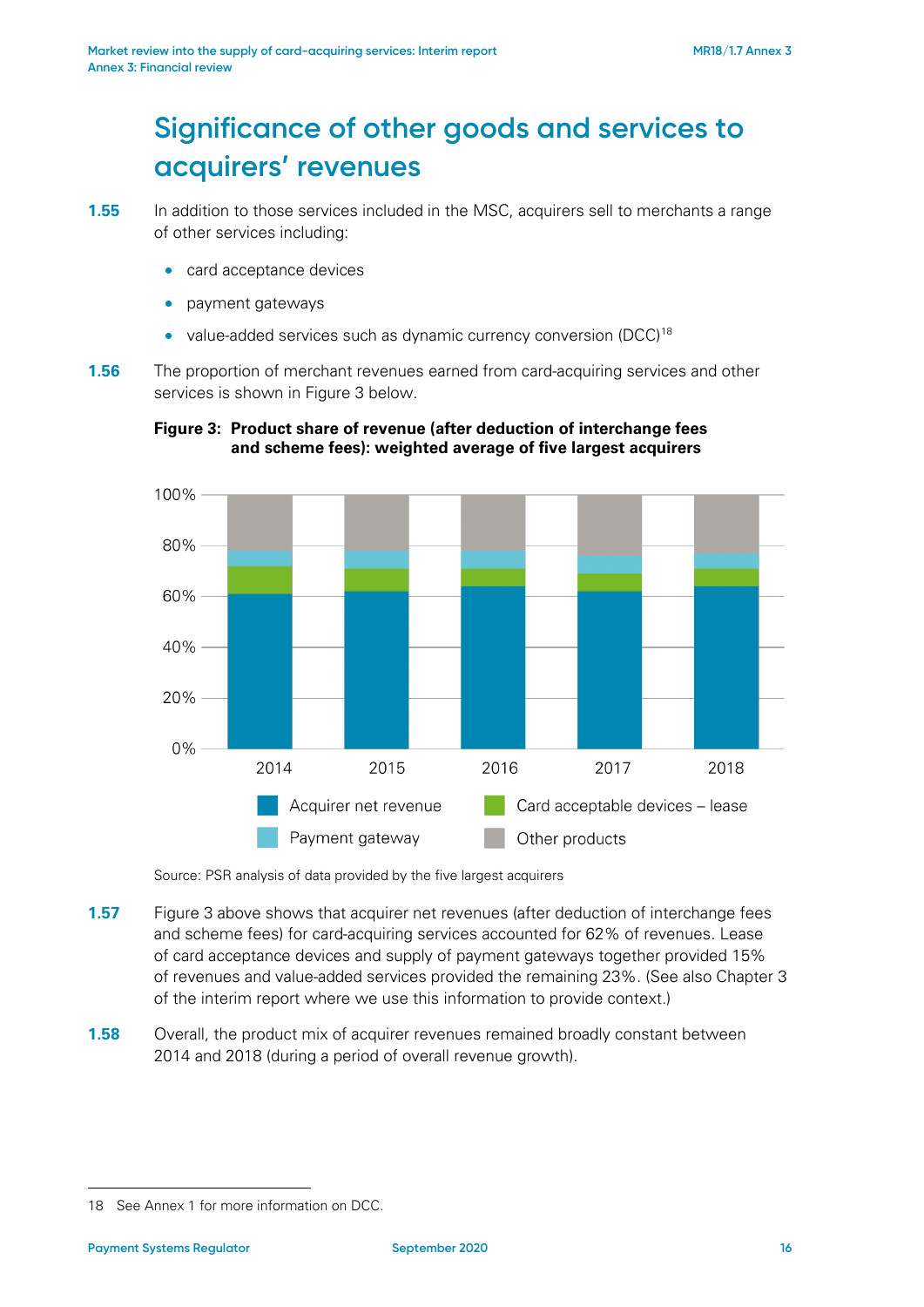## **Significance of other goods and services to acquirers' revenues**

- card acceptance devices
- payment gateways
- value-added services such as dynamic currency conversion (DCC)<sup>[18](#page-15-1)</sup>
- <span id="page-15-0"></span>**1.56** The proportion of merchant revenues earned from card-acquiring services and other services is shown in [Figure 3](#page-15-0) below.



#### **Figure 3: Product share of revenue (after deduction of interchange fees and scheme fees): weighted average of five largest acquirers**

Source: PSR analysis of data provided by the five largest acquirers

- **1.57** [Figure 3](#page-15-0) above shows that acquirer net revenues (after deduction of interchange fees and scheme fees) for card-acquiring services accounted for 62% of revenues. Lease of card acceptance devices and supply of payment gateways together provided 15% of revenues and value-added services provided the remaining 23%. (See also Chapter 3 of the interim report where we use this information to provide context.)
- **1.58** Overall, the product mix of acquirer revenues remained broadly constant between 2014 and 2018 (during a period of overall revenue growth).

**<sup>1.55</sup>** In addition to those services included in the MSC, acquirers sell to merchants a range of other services including:

<span id="page-15-1"></span><sup>18</sup> See Annex 1 for more information on DCC.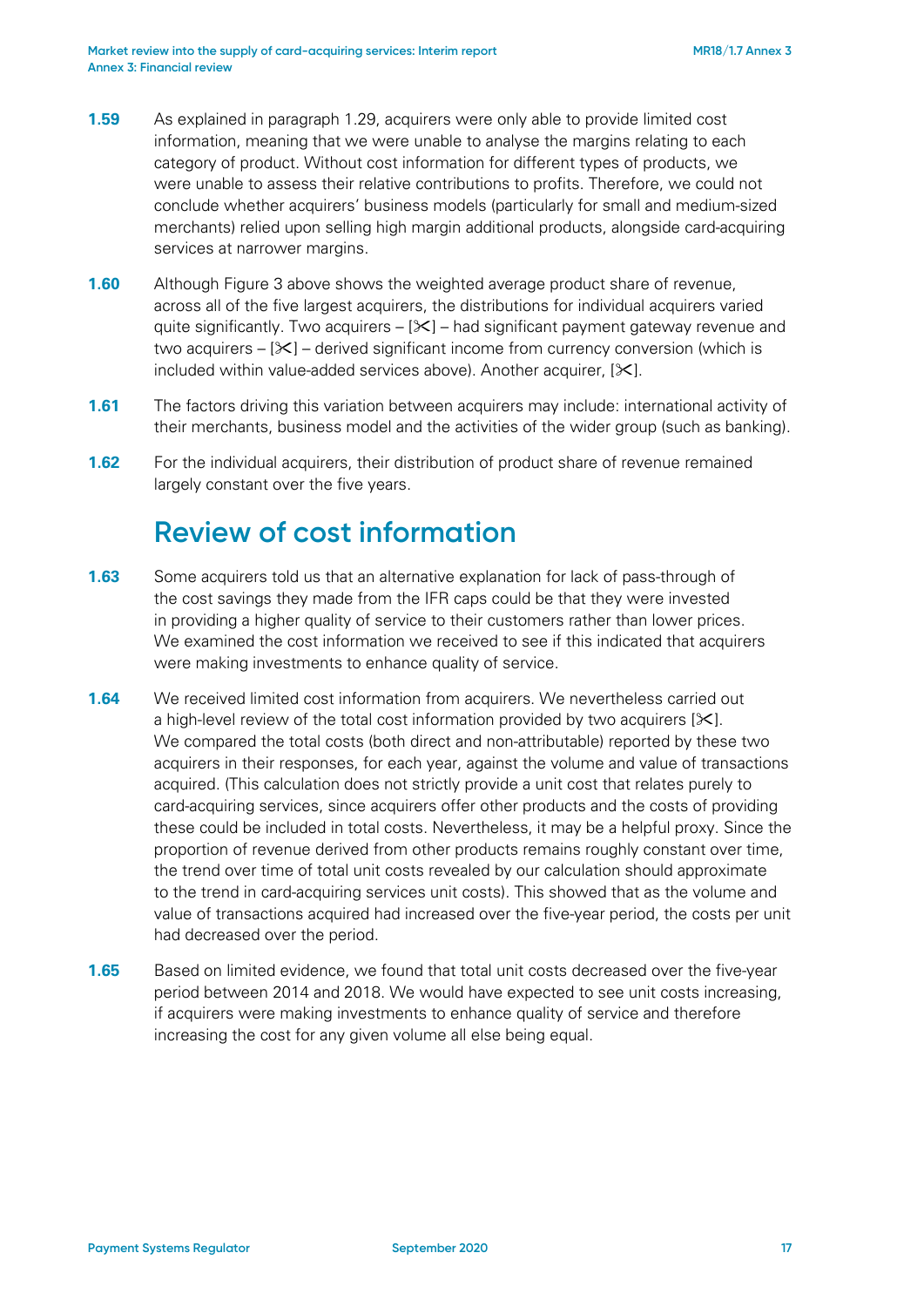- **1.59** As explained in paragraph [1.29,](#page-7-3) acquirers were only able to provide limited cost information, meaning that we were unable to analyse the margins relating to each category of product. Without cost information for different types of products, we were unable to assess their relative contributions to profits. Therefore, we could not conclude whether acquirers' business models (particularly for small and medium-sized merchants) relied upon selling high margin additional products, alongside card-acquiring services at narrower margins.
- **1.60** Although [Figure 3](#page-15-0) above shows the weighted average product share of revenue, across all of the five largest acquirers, the distributions for individual acquirers varied quite significantly. Two acquirers  $-$  [ $\angle$ ] – had significant payment gateway revenue and two acquirers  $-[8]$  – derived significant income from currency conversion (which is included within value-added services above). Another acquirer,  $[\times]$ .
- **1.61** The factors driving this variation between acquirers may include: international activity of their merchants, business model and the activities of the wider group (such as banking).
- **1.62** For the individual acquirers, their distribution of product share of revenue remained largely constant over the five years.

## **Review of cost information**

- **1.63** Some acquirers told us that an alternative explanation for lack of pass-through of the cost savings they made from the IFR caps could be that they were invested in providing a higher quality of service to their customers rather than lower prices. We examined the cost information we received to see if this indicated that acquirers were making investments to enhance quality of service.
- **1.64** We received limited cost information from acquirers. We nevertheless carried out a high-level review of the total cost information provided by two acquirers  $[\mathbb{X}].$ We compared the total costs (both direct and non-attributable) reported by these two acquirers in their responses, for each year, against the volume and value of transactions acquired. (This calculation does not strictly provide a unit cost that relates purely to card-acquiring services, since acquirers offer other products and the costs of providing these could be included in total costs. Nevertheless, it may be a helpful proxy. Since the proportion of revenue derived from other products remains roughly constant over time, the trend over time of total unit costs revealed by our calculation should approximate to the trend in card-acquiring services unit costs). This showed that as the volume and value of transactions acquired had increased over the five-year period, the costs per unit had decreased over the period.
- **1.65** Based on limited evidence, we found that total unit costs decreased over the five-year period between 2014 and 2018. We would have expected to see unit costs increasing, if acquirers were making investments to enhance quality of service and therefore increasing the cost for any given volume all else being equal.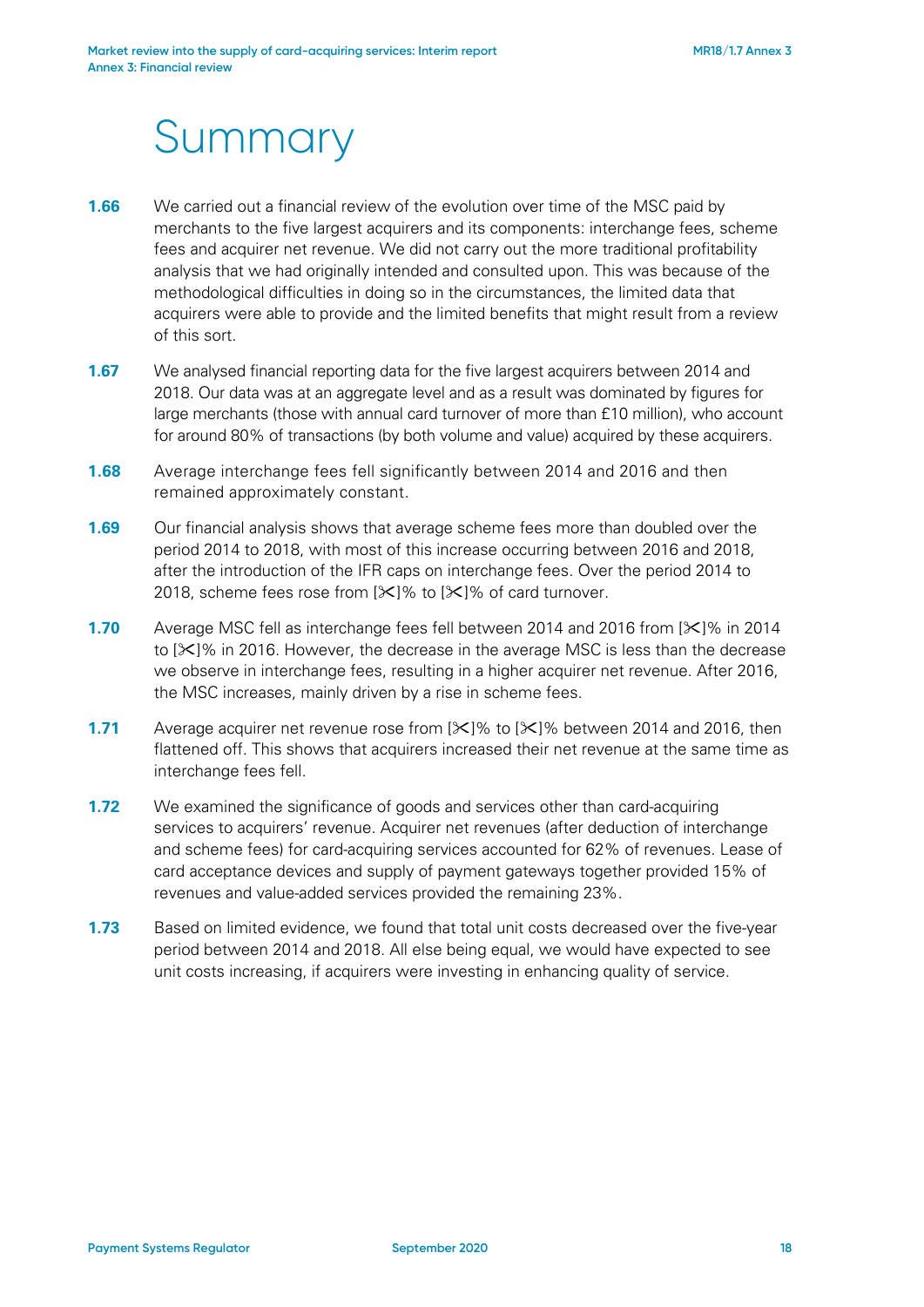# Summary

- **1.66** We carried out a financial review of the evolution over time of the MSC paid by merchants to the five largest acquirers and its components: interchange fees, scheme fees and acquirer net revenue. We did not carry out the more traditional profitability analysis that we had originally intended and consulted upon. This was because of the methodological difficulties in doing so in the circumstances, the limited data that acquirers were able to provide and the limited benefits that might result from a review of this sort.
- **1.67** We analysed financial reporting data for the five largest acquirers between 2014 and 2018. Our data was at an aggregate level and as a result was dominated by figures for large merchants (those with annual card turnover of more than £10 million), who account for around 80% of transactions (by both volume and value) acquired by these acquirers.
- **1.68** Average interchange fees fell significantly between 2014 and 2016 and then remained approximately constant.
- **1.69** Our financial analysis shows that average scheme fees more than doubled over the period 2014 to 2018, with most of this increase occurring between 2016 and 2018, after the introduction of the IFR caps on interchange fees. Over the period 2014 to 2018, scheme fees rose from  $[\frac{1}{10}]$ % to  $[\frac{1}{10}]$ % of card turnover.
- **1.70** Average MSC fell as interchange fees fell between 2014 and 2016 from [ $\angle$ ]% in 2014 to  $[\times]$ % in 2016. However, the decrease in the average MSC is less than the decrease we observe in interchange fees, resulting in a higher acquirer net revenue. After 2016, the MSC increases, mainly driven by a rise in scheme fees.
- **1.71** Average acquirer net revenue rose from  $[\frac{1}{2}]$ % to  $[\frac{1}{2}]$ % between 2014 and 2016, then flattened off. This shows that acquirers increased their net revenue at the same time as interchange fees fell.
- **1.72** We examined the significance of goods and services other than card-acquiring services to acquirers' revenue. Acquirer net revenues (after deduction of interchange and scheme fees) for card-acquiring services accounted for 62% of revenues. Lease of card acceptance devices and supply of payment gateways together provided 15% of revenues and value-added services provided the remaining 23%.
- **1.73** Based on limited evidence, we found that total unit costs decreased over the five-year period between 2014 and 2018. All else being equal, we would have expected to see unit costs increasing, if acquirers were investing in enhancing quality of service.